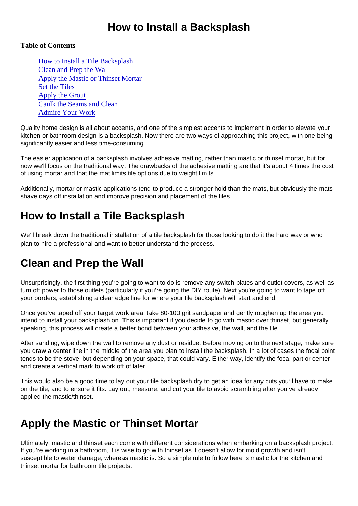#### How to Install a Backsplash

#### Table of Contents

How to Install a Tile Backsplash Clean and Prep the Wall Apply the Mastic or Thinset Mortar [Set the Tile](#page-1-0)s [Apply the Grou](#page-1-0)t [Caulk the Seams and Cle](#page-1-0)an [Admire Your Work](#page-1-0)

Quality home design is all about accents, and one of the simplest accents to implement in order to elevate your kitchen or bathroom design is a backsplash. Now there are two ways of approaching this project, with one being significantly easier and less time-consuming.

The easier application of a backsplash involves adhesive matting, rather than mastic or thinset mortar, but for now we'll focus on the traditional way. The drawbacks of the adhesive matting are that it's about 4 times the cost of using mortar and that the mat limits tile options due to weight limits.

Additionally, mortar or mastic applications tend to produce a stronger hold than the mats, but obviously the mats shave days off installation and improve precision and placement of the tiles.

### How to Install a Tile Backsplash

We'll break down the traditional installation of a tile backsplash for those looking to do it the hard way or who plan to hire a professional and want to better understand the process.

# Clean and Prep the Wall

Unsurprisingly, the first thing you're going to want to do is remove any switch plates and outlet covers, as well as turn off power to those outlets (particularly if you're going the DIY route). Next you're going to want to tape off your borders, establishing a clear edge line for where your tile backsplash will start and end.

Once you've taped off your target work area, take 80-100 grit sandpaper and gently roughen up the area you intend to install your backsplash on. This is important if you decide to go with mastic over thinset, but generally speaking, this process will create a better bond between your adhesive, the wall, and the tile.

After sanding, wipe down the wall to remove any dust or residue. Before moving on to the next stage, make sure you draw a center line in the middle of the area you plan to install the backsplash. In a lot of cases the focal point tends to be the stove, but depending on your space, that could vary. Either way, identify the focal part or center and create a vertical mark to work off of later.

This would also be a good time to lay out your tile backsplash dry to get an idea for any cuts you'll have to make on the tile, and to ensure it fits. Lay out, measure, and cut your tile to avoid scrambling after you've already applied the mastic/thinset.

### Apply the Mastic or Thinset Mortar

Ultimately, mastic and thinset each come with different considerations when embarking on a backsplash project. If you're working in a bathroom, it is wise to go with thinset as it doesn't allow for mold growth and isn't susceptible to water damage, whereas mastic is. So a simple rule to follow here is mastic for the kitchen and thinset mortar for bathroom tile projects.